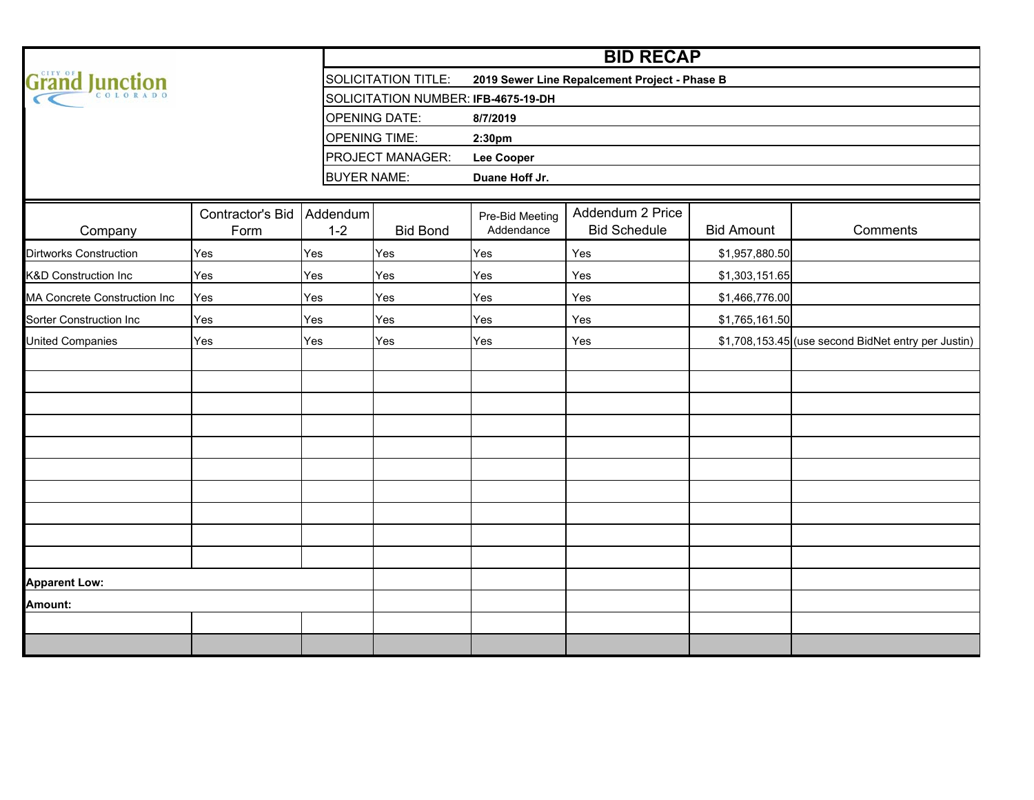|                                 |                                   |                    | <b>BID RECAP</b>                    |                                               |                                         |                   |                                                     |  |  |  |  |  |  |  |  |  |  |
|---------------------------------|-----------------------------------|--------------------|-------------------------------------|-----------------------------------------------|-----------------------------------------|-------------------|-----------------------------------------------------|--|--|--|--|--|--|--|--|--|--|
| Grand Junction                  |                                   |                    | <b>SOLICITATION TITLE:</b>          | 2019 Sewer Line Repalcement Project - Phase B |                                         |                   |                                                     |  |  |  |  |  |  |  |  |  |  |
|                                 |                                   |                    | SOLICITATION NUMBER: IFB-4675-19-DH |                                               |                                         |                   |                                                     |  |  |  |  |  |  |  |  |  |  |
|                                 |                                   |                    | <b>OPENING DATE:</b>                | 8/7/2019                                      |                                         |                   |                                                     |  |  |  |  |  |  |  |  |  |  |
|                                 |                                   |                    | <b>OPENING TIME:</b>                | 2:30pm                                        |                                         |                   |                                                     |  |  |  |  |  |  |  |  |  |  |
|                                 |                                   |                    | PROJECT MANAGER:                    | <b>Lee Cooper</b>                             |                                         |                   |                                                     |  |  |  |  |  |  |  |  |  |  |
|                                 |                                   | <b>BUYER NAME:</b> |                                     | Duane Hoff Jr.                                |                                         |                   |                                                     |  |  |  |  |  |  |  |  |  |  |
|                                 |                                   |                    |                                     |                                               |                                         |                   |                                                     |  |  |  |  |  |  |  |  |  |  |
| Company                         | Contractor's Bid Addendum<br>Form | $1 - 2$            | <b>Bid Bond</b>                     | Pre-Bid Meeting<br>Addendance                 | Addendum 2 Price<br><b>Bid Schedule</b> | <b>Bid Amount</b> | Comments                                            |  |  |  |  |  |  |  |  |  |  |
| <b>Dirtworks Construction</b>   | Yes                               | Yes                | Yes                                 | Yes                                           | Yes                                     | \$1,957,880.50    |                                                     |  |  |  |  |  |  |  |  |  |  |
| <b>K&amp;D Construction Inc</b> | Yes                               | Yes                | Yes                                 | Yes                                           | Yes                                     | \$1,303,151.65    |                                                     |  |  |  |  |  |  |  |  |  |  |
| MA Concrete Construction Inc    | Yes                               | Yes                | Yes                                 | Yes                                           | Yes                                     | \$1,466,776.00    |                                                     |  |  |  |  |  |  |  |  |  |  |
| <b>Sorter Construction Inc</b>  | Yes                               | Yes                | Yes                                 | Yes                                           | Yes                                     | \$1,765,161.50    |                                                     |  |  |  |  |  |  |  |  |  |  |
| <b>United Companies</b>         | Yes                               | Yes                | Yes                                 | Yes                                           | Yes                                     |                   | \$1,708,153.45 (use second BidNet entry per Justin) |  |  |  |  |  |  |  |  |  |  |
|                                 |                                   |                    |                                     |                                               |                                         |                   |                                                     |  |  |  |  |  |  |  |  |  |  |
|                                 |                                   |                    |                                     |                                               |                                         |                   |                                                     |  |  |  |  |  |  |  |  |  |  |
|                                 |                                   |                    |                                     |                                               |                                         |                   |                                                     |  |  |  |  |  |  |  |  |  |  |
|                                 |                                   |                    |                                     |                                               |                                         |                   |                                                     |  |  |  |  |  |  |  |  |  |  |
|                                 |                                   |                    |                                     |                                               |                                         |                   |                                                     |  |  |  |  |  |  |  |  |  |  |
|                                 |                                   |                    |                                     |                                               |                                         |                   |                                                     |  |  |  |  |  |  |  |  |  |  |
|                                 |                                   |                    |                                     |                                               |                                         |                   |                                                     |  |  |  |  |  |  |  |  |  |  |
|                                 |                                   |                    |                                     |                                               |                                         |                   |                                                     |  |  |  |  |  |  |  |  |  |  |
|                                 |                                   |                    |                                     |                                               |                                         |                   |                                                     |  |  |  |  |  |  |  |  |  |  |
|                                 |                                   |                    |                                     |                                               |                                         |                   |                                                     |  |  |  |  |  |  |  |  |  |  |
| <b>Apparent Low:</b>            |                                   |                    |                                     |                                               |                                         |                   |                                                     |  |  |  |  |  |  |  |  |  |  |
| Amount:                         |                                   |                    |                                     |                                               |                                         |                   |                                                     |  |  |  |  |  |  |  |  |  |  |
|                                 |                                   |                    |                                     |                                               |                                         |                   |                                                     |  |  |  |  |  |  |  |  |  |  |
|                                 |                                   |                    |                                     |                                               |                                         |                   |                                                     |  |  |  |  |  |  |  |  |  |  |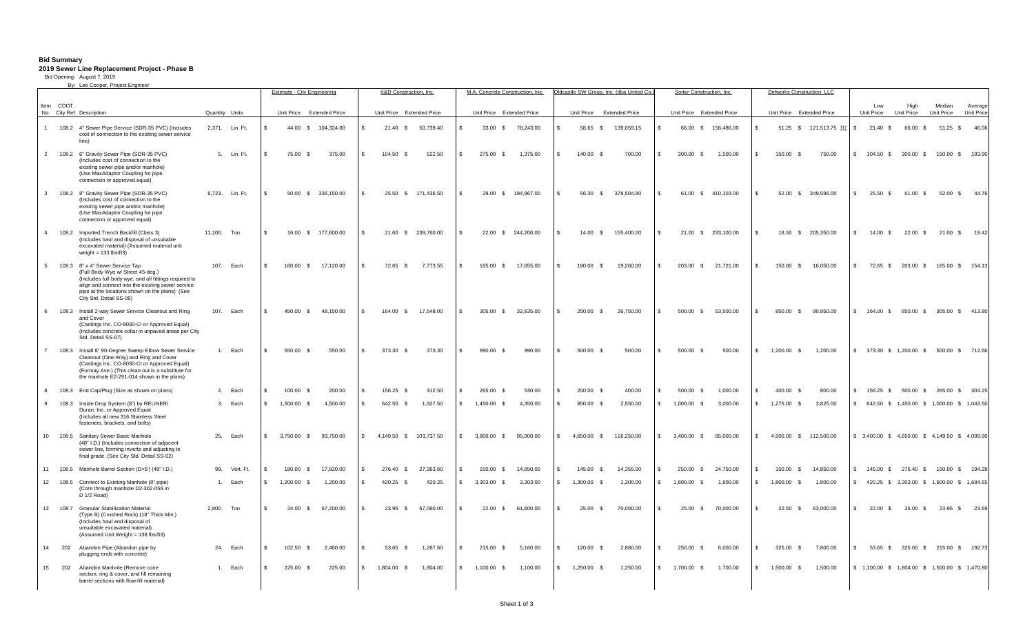#### **Bid Summary 2019 Sewer Line Replacement Project - Phase B**

12 108.5 Connect to Existing Manhole (8" pipe) (Core through manhole D2-302-056 in

> (Type B) (Crushed Rock) (18" Thick Min.) (Includes haul and disposal of unsuitable excavated material) (Assumed Unit Weight = 138 lbs/ft3)

section, ring & cover, and fill remaining barrel sections with flow-fill material)

D 1/2 Road)

13 108.7 Granular Stabilization Material

14 202 Abandon Pipe (Abandon pipe by plugging ends with concrete)

15 202 Abandon Manhole (Remove cone

|                  |            | By: Lee Cooper, Project Engineer                                                                                                                                                                                                                                  |                |                 | Estimate - City Engineering |                     |     | K&D Construction, Inc.    |                     |               | M.A. Concrete Construction, Inc. |                    |     |                           | Oldcastle SW Group, Inc. (dba United Co. |              | Sorter Construction, Inc. |                     |     |             | Dirtworks Construction, LLC |               |                          |                    |                      |                                                 |
|------------------|------------|-------------------------------------------------------------------------------------------------------------------------------------------------------------------------------------------------------------------------------------------------------------------|----------------|-----------------|-----------------------------|---------------------|-----|---------------------------|---------------------|---------------|----------------------------------|--------------------|-----|---------------------------|------------------------------------------|--------------|---------------------------|---------------------|-----|-------------|-----------------------------|---------------|--------------------------|--------------------|----------------------|-------------------------------------------------|
|                  |            |                                                                                                                                                                                                                                                                   |                |                 |                             |                     |     |                           |                     |               |                                  |                    |     |                           |                                          |              |                           |                     |     |             |                             |               |                          |                    |                      |                                                 |
|                  | Item CDOT. | No. City Ref. Description                                                                                                                                                                                                                                         | Quantity Units |                 | Unit Price Extended Price   |                     |     | Unit Price Extended Price |                     |               | Unit Price Extended Price        |                    |     | Unit Price Extended Price |                                          |              | Unit Price Extended Price |                     |     |             | Unit Price Extended Price   |               | Low<br>Unit Price        | High<br>Unit Price | Median<br>Unit Price | Average<br>Unit Price                           |
|                  |            | 108.2 4" Sewer Pipe Service (SDR-35 PVC) (Includes<br>cost of connection to the existing sewer service<br>line)                                                                                                                                                   |                | 2.371. Lin. Ft. |                             | 44.00 \$ 104.324.00 |     | 21.40 S                   | 50.739.40           |               |                                  | 33.00 \$ 78.243.00 |     | 58.65 \$                  | 139.059.15                               |              |                           | 66.00 \$ 156.486.00 |     |             | 51.25 \$ 121,513.75 [1]     | $\mathbf{s}$  | 21.40 S                  | 66.00 \$           |                      | 51.25 \$ 46.06                                  |
|                  |            | 2 108.2 6" Gravity Sewer Pipe (SDR-35 PVC)<br>(Includes cost of connection to the<br>existing sewer pipe and/or manhole)<br>(Use MaxAdaptor Coupling for pipe<br>connection or approved equal)                                                                    |                | 5. Lin. Ft.     | 75.00 \$                    | 375.00              | \$. | 104.50 \$                 | 522.50              | $\mathbf{R}$  | 275.00 \$                        | 1,375.00           |     | 140.00 \$                 | 700.00                                   |              | 300.00<br><b>S</b>        | 1,500.00            |     | 150.00 \$   | 750.00                      |               | \$ 104.50 \$             | 300.00 \$          |                      | 150.00 \$ 193.90                                |
| 3 <sup>1</sup>   |            | 108.2 8" Gravity Sewer Pipe (SDR-35 PVC)<br>(Includes cost of connection to the<br>existing sewer pipe and/or manhole)<br>(Use MaxAdaptor Coupling for pipe<br>connection or approved equal)                                                                      |                | 6.723. Lin. Ft. |                             | 50.00 \$ 336,150.00 |     |                           | 25.50 \$ 171.436.50 |               | 29.00 S                          | 194.967.00         |     | 56.30 \$                  | 378,504.90                               |              |                           | 61.00 \$ 410.103.00 |     |             | 52.00 \$ 349.596.00         | \$            | $25.50$ \$               | 61.00 \$           |                      | 52.00 \$ 44.76                                  |
|                  | 4 108.2    | Imported Trench Backfill (Class 3)<br>(Includes haul and disposal of unsuitable<br>excavated material) (Assumed material unit<br>weight = $133$ lbs/ft3)                                                                                                          | 11.100. Ton    |                 | 16.00                       | \$ 177,600.00       |     |                           | 21.60 \$ 239.760.00 |               | 22.00 S                          | 244,200.00         |     | 14.00 S                   | 155,400.00                               |              |                           | 21.00 \$ 233,100.00 |     | 18.50       | \$ 205,350.00               | $\mathcal{R}$ | 14.00 S                  | 22.00              |                      | 21.00 \$ 19.42                                  |
|                  |            | 5 108.3 8" x 4" Sewer Service Tap<br>(Full Body Wye w/ Street 45-deg.)<br>(Includes full body wye, and all fittings required to<br>align and connect into the existing sewer service<br>pipe at the locations shown on the plans) (See<br>City Std. Detail SS-06) |                | 107. Each       | 160.00 \$                   | 17.120.00           | - R | 72.65 \$                  | 7.773.55            | -S            | 165.00 \$                        | 17.655.00          |     | 180.00 \$                 | 19,260.00                                | $\mathbf{S}$ | 203.00 \$                 | 21.721.00           | \$. | 150.00 \$   | 16.050.00                   | $^{\circ}$    | 72.65 \$                 | 203.00 \$          |                      | 165.00 \$ 154.13                                |
| 6                | 108.3      | Install 2-way Sewer Service Cleanout and Ring<br>and Cover<br>(Castings Inc. CO-8030-CI or Approved Equal)<br>(Includes concrete collar in unpaved areas per City<br>Std. Detail SS-07)                                                                           |                | 107. Each       | 450.00 \$                   | 48.150.00           |     | 164.00 \$                 | 17,548.00           |               | 305.00 \$                        | 32,635.00          |     | 250.00<br>$\mathbf{s}$    | 26,750.00                                |              | 500.00<br>$\mathcal{S}$   | 53,500.00           |     | 850.00      | 90,950.00<br><b>S</b>       | $\mathbf{s}$  | 164.00                   | 850.00 \$          |                      | 305.00 \$ 413.80                                |
| $7^{\circ}$      | 108.3      | Install 8" 90-Degree Sweep Elbow Sewer Service<br>Cleanout (One-Way) and Ring and Cover<br>(Castings Inc. CO-8030-CI or Approved Equal)<br>(Formay Ave.) (This clean-out is a substitute for<br>the manhole E2-291-014 shown in the plans)                        |                | 1. Each         | 550.00 \$                   | 550.00              |     | 373.30 \$                 | 373.30              | $\mathbb{R}$  | 990.00                           | 990.00             |     | $500.00$ \$               | 500.00                                   |              | $500.00$ \$               | 500.00              |     | 1.200.00    | 1.200.00                    |               | \$ 373.30 \$ 1.200.00 \$ |                    |                      | 500.00 \$ 712.66                                |
|                  | 108.3      | End Cap/Plug (Size as shown on plans)                                                                                                                                                                                                                             |                | 2. Each         | 100.00 \$                   | 200.00              | \$. | 156.25 \$                 | 312.50              | -S            | 265.00 \$                        | 530.00             | \$. | 200.00 \$                 | 400.00                                   |              | 500.00<br>$\mathcal{L}$   | 1,000.00            |     | 400.00 \$   | 800.00                      | $\mathbb{S}$  | 156.25 \$                |                    |                      | 500.00 \$ 265.00 \$ 304.25                      |
| $\mathbf{q}$     | 108.3      | Inside Drop System (8") by RELINER/<br>Duran, Inc. or Approved Equal<br>(Includes all new 316 Stainless Steel<br>fasteners, brackets, and bolts)                                                                                                                  |                | 3. Each         | 1,500.00 \$                 | 4.500.00            | \$  | 642.50 \$                 | 1.927.50            |               | 1,450.00 \$                      | 4.350.00           |     | 850.00 \$                 | 2.550.00                                 |              | $1.000.00$ \$             | 3.000.00            | \$. | 1,275.00 \$ | 3.825.00                    | $\mathbb{S}$  |                          |                    |                      | 642.50 \$ 1,450.00 \$ 1,000.00 \$ 1,043.50      |
| 10 <sup>10</sup> | 108.5      | Sanitary Sewer Basic Manhole<br>(48" I.D.) (Includes connection of adjacent<br>sewer line, forming inverts and adjusting to<br>final grade. (See City Std. Detail SS-02)                                                                                          |                | 25. Each        | 3,750.00 \$                 | 93,750.00           | £.  | 4.149.50 \$               | 103,737.50          | $\mathcal{L}$ | 3,800.00 \$                      | 95,000.00          |     | 4.650.00 \$               | 116,250.00                               |              | 3,400.00<br>$\mathcal{S}$ | 85,000.00           |     | 4,500.00 \$ | 112,500.00                  |               |                          |                    |                      | \$ 3,400.00 \$ 4,650.00 \$ 4,149.50 \$ 4,099.90 |

Sheet 1 of 3

11 108.5 Manhole Barrel Section (D>5') (48" I.D.) 99. Vert. Ft. S 180.00 \$ 17,820.00 \$ 276.40 \$ 27.363.60 \$ 150.00 \$ 14,850.00 \$ 14,355.00 \$ 14,355.00 \$ 276.00 \$ 24,750.00 \$ 150.00 \$ 14,850.00 \$ 14,850.00 \$ 150.00 \$ 150.00

1. Each \$ 1,200.00 \$ 1,200.00 \$ 420.25 \$ 420.25 \$ 3,303.00 \$ 3,303.00 \$ 1,300.00 \$ 1,300.00 \$ 1,600.00 \$ 1,600.00 \$ 1,800.00 \$ 1,800.00 \$ 420.25 \$ 3,303.00 \$ 1,600.00 \$ 1,684.65

2,800. Ton \$ 24.00 \$ 67,200.00 \$ 23.95 \$ 67,060.00 \$ 22.00 \$ 61,600.00 \$ 25.00 \$ 70,000.00 \$ 70,000.00 \$ 22.50 \$ 63,000.00 \$ 22.00 \$ 25.00 \$ 23.95 \$ 23.69

24. Each \$ 102.50 \$ 2,460.00 \$ 53.65 \$ 1,287.60 \$ 215.00 \$ 5,160.00 \$ 120.00 \$ 2,880.00 \$ 5,000.00 \$ 5,000 \$ 50.00 \$ 53.65 \$ 325.00 \$ 215.00 \$ 192.73

1. Each \$ 225.00 \$ 225.00 \$ 1,804.00 \$ 1,804.00 \$ 1,100.00 \$ 1,100.00 \$ 1,250.00 \$ 1,250.00 \$ 1,700.00 \$ 1,700.00 \$ 1,500.00 \$ 1,500.00 \$ 1,500.00 \$ 1,500.00 \$ 1,500.00 \$ 1,470.80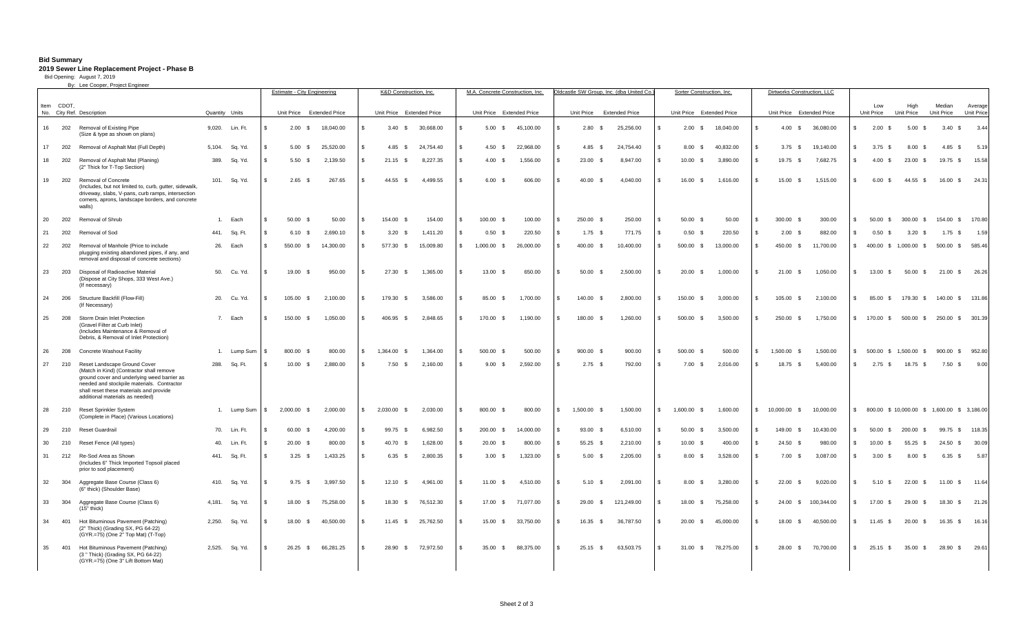### **Bid Summary**

## **2019 Sewer Line Replacement Project - Phase B** Bid Opening: August 7, 2019

By: Lee Cooper, Project Engineer

|      |       |                                                                                                                                                                                                                                                     |        |                 |                           | <b>Estimate - City Engineering</b> |  | K&D Construction, Inc.    |           |                    | M.A. Concrete Construction, Inc. |           | Oldcastle SW Group, Inc. (dba United Co. |            |              | Sorter Construction, Inc. |                    |     | Dirtworks Construction, LLC |            |               |                        |                                          |                      |                  |
|------|-------|-----------------------------------------------------------------------------------------------------------------------------------------------------------------------------------------------------------------------------------------------------|--------|-----------------|---------------------------|------------------------------------|--|---------------------------|-----------|--------------------|----------------------------------|-----------|------------------------------------------|------------|--------------|---------------------------|--------------------|-----|-----------------------------|------------|---------------|------------------------|------------------------------------------|----------------------|------------------|
| Item | CDOT. |                                                                                                                                                                                                                                                     |        |                 |                           |                                    |  |                           |           |                    |                                  |           |                                          |            |              |                           |                    |     |                             |            |               | Low                    | High                                     | Median               | Average          |
|      |       | No. City Ref. Description                                                                                                                                                                                                                           |        | Quantity Units  | Unit Price Extended Price |                                    |  | Unit Price Extended Price |           |                    | Unit Price Extended Price        |           | Unit Price Extended Price                |            |              | Unit Price Extended Price |                    |     | Unit Price Extended Price   |            |               | Unit Price             | Unit Price                               | Unit Price           | Unit Price       |
| 16   | 202   | Removal of Existing Pipe<br>(Size & type as shown on plans)                                                                                                                                                                                         |        | 9,020. Lin. Ft. | $2.00\quad$ \$            | 18,040.00                          |  | 3.40<br>$\mathbb{S}$      | 30,668.00 |                    | 5.00<br>$\mathbb{S}$             | 45,100.00 | 2.80<br>$\mathbf{s}$                     | 25,256.00  | £.           | $2.00\quad$ \$            | 18,040.00          |     | 4.00 S                      | 36,080.00  | \$            | 2.00 S                 | 5.00<br>- \$                             | 3.40<br>$\mathbb{S}$ | 3.44             |
| 17   | 202   | Removal of Asphalt Mat (Full Depth)                                                                                                                                                                                                                 | 5,104. | Sq. Yd.         | $5.00$ \$                 | 25,520.00                          |  | 4.85<br>- S               | 24.754.40 |                    | 4.50<br>-S                       | 22,968.00 | $4.85$ \$                                | 24,754.40  |              | $8.00\quad$ \$            | 40,832.00          | \$. | $3.75$ \$                   | 19,140.00  | \$.           | $3.75$ \$              | 8.00<br>- \$                             | 4.85<br>$\mathbb{S}$ | 5.19             |
| 18   | 202   | Removal of Asphalt Mat (Planing)<br>(2" Thick for T-Top Section)                                                                                                                                                                                    | 389.   | Sq. Yd.         | $5.50$ \$                 | 2,139.50                           |  | 21.15<br>$\mathcal{R}$    | 8,227.35  |                    | 4.00<br>- \$                     | 1,556.00  | 23.00<br>- \$                            | 8,947.00   |              | 10.00<br>$\mathcal{S}$    | 3,890.00           | \$. | 19.75<br><b>S</b>           | 7,682.75   |               | 4.00                   | 23.00<br>$\mathcal{S}$                   | 19.75<br><b>S</b>    | 15.58            |
| 19   | 202   | Removal of Concrete<br>(Includes, but not limited to, curb, gutter, sidewalk,<br>driveway, slabs, V-pans, curb ramps, intersection<br>corners, aprons, landscape borders, and concrete<br>walls)                                                    |        | 101. Sq. Yd.    | $2.65$ \$                 | 267.65                             |  | 44.55 \$                  | 4,499.55  | £.                 | 6.00<br>- \$                     | 606.00    | 40.00 \$                                 | 4,040.00   |              | 16.00<br><b>\$</b>        | 1,616.00           | \$  | 15.00 \$                    | 1.515.00   | $\mathcal{R}$ | 6.00 S                 | 44.55<br>\$                              |                      | 16.00 \$ 24.31   |
| 20   | 202   | Removal of Shrub                                                                                                                                                                                                                                    | 1.     | Each            | $50.00$ \$                | 50.00                              |  | 154.00 \$                 | 154.00    | £.                 | 100.00<br>- \$                   | 100.00    | 250.00 \$                                | 250.00     |              | 50.00<br>$\mathcal{S}$    | 50.00              | \$. | 300.00 \$                   | 300.00     | \$.           | 50.00<br>$\mathcal{S}$ | 300.00<br>$\mathbf{\$}$                  |                      | 154.00 \$ 170.80 |
| 21   | 202   | Removal of Sod                                                                                                                                                                                                                                      |        | 441. Sq. Ft.    | $6.10$ \$                 | 2.690.10                           |  | 3.20 S                    | 1.411.20  | £.                 | 0.50<br>- \$                     | 220.50    | $1.75$ \$                                | 771.75     |              | 0.50 <sup>5</sup>         | 220.50             | \$. | $2.00$ \$                   | 882.00     | \$.           | 0.50 <sup>5</sup>      | 3.20<br>$\mathcal{S}$                    | $1.75$ \$            | 1.59             |
| 22   | 202   | Removal of Manhole (Price to include<br>plugging existing abandoned pipes, if any, and<br>removal and disposal of concrete sections)                                                                                                                |        | 26. Each        | 550.00 \$                 | 14,300.00                          |  | 577.30 \$                 | 15,009.80 | $^{\circ}$         | 1,000.00 \$                      | 26,000.00 | 400.00 \$                                | 10,400.00  | S.           | 500.00 \$                 | 13,000.00          | S.  | 450.00 \$                   | 11,700.00  |               |                        | \$400.00 \$1,000.00 \$                   |                      | 500.00 \$ 585.46 |
| 23   | 203   | Disposal of Radioactive Material<br>(Dispose at City Shops, 333 West Ave.)<br>(If necessary)                                                                                                                                                        |        | 50. Cu. Yd.     | 19.00 \$                  | 950.00                             |  | 27.30<br>- \$             | 1,365.00  |                    | 13.00<br>-S                      | 650.00    | 50.00<br>- \$                            | 2,500.00   |              | 20.00<br><b>\$</b>        | 1,000.00           |     | 21.00<br>- \$               | 1,050.00   | \$.           | 13.00<br>- S           | 50.00<br>\$                              |                      | 21.00 \$ 26.26   |
| 24   | 206   | Structure Backfill (Flow-Fill)<br>(If Necessary)                                                                                                                                                                                                    |        | 20. Cu. Yd.     | 105.00 \$                 | 2,100.00                           |  | 179.30<br>- S             | 3.586.00  |                    | 85.00<br>- \$                    | 1,700.00  | 140.00 \$                                | 2,800.00   |              | 150.00<br><b>S</b>        | 3,000.00           |     | 105.00<br>- \$              | 2.100.00   | \$.           | 85.00<br>- S           | 179.30<br>- \$                           |                      | 140.00 \$ 131.86 |
| 25   | 208   | Storm Drain Inlet Protection<br>(Gravel Filter at Curb Inlet)<br>(Includes Maintenance & Removal of<br>Debris, & Removal of Inlet Protection)                                                                                                       |        | 7. Each         | 150.00 \$                 | 1,050.00                           |  | 406.95<br>$\mathcal{S}$   | 2,848.65  | £.                 | 170.00<br>-S                     | 1,190.00  | 180.00 \$                                | 1,260.00   | $\mathbb{S}$ | 500.00<br>\$              | 3,500.00           | £.  | 250.00 \$                   | 1,750.00   |               | \$170.00\$             | 500.00 \$                                |                      | 250.00 \$ 301.39 |
| 26   | 208   | Concrete Washout Facility                                                                                                                                                                                                                           |        | 1. Lump Sum     | 800.00 \$                 | 800.00                             |  | 1,364.00<br>- \$          | 1,364.00  | £.                 | 500.00<br>- S                    | 500.00    | 900.00 \$                                | 900.00     | S.           | 500.00<br>- \$            | 500.00             | s.  | 1,500.00<br>- \$            | 1,500.00   | $\mathbb{S}$  | 500.00<br>$\mathbf{s}$ | 1,500.00<br>- S                          |                      | 900.00 \$ 952.80 |
| 27   | 210   | Reset Landscape Ground Cover<br>(Match in Kind) (Contractor shall remove<br>ground cover and underlying weed barrier as<br>needed and stockpile materials. Contractor<br>shall reset these materials and provide<br>additional materials as needed) | 288.   | Sq. Ft.         | $10.00$ \$                | 2,880.00                           |  | $7.50\quad$ \$            | 2,160.00  | $\mathbf{\hat{z}}$ | 9.00 S                           | 2,592.00  | $2.75$ \$                                | 792.00     | S.           | $7.00$ \$                 | 2,016.00           | S.  | 18.75 \$                    | 5,400.00   | $\mathbf{R}$  | $2.75$ \$              | 18.75<br>- \$                            | $7.50\degree$        | 9.00             |
| 28   | 210   | Reset Sprinkler System<br>(Complete in Place) (Various Locations)                                                                                                                                                                                   |        | 1. Lump Sum     | 2.000.00 \$               | 2.000.00                           |  | $2.030.00$ \$             | 2.030.00  | \$.                | 800.00<br>- \$                   | 800.00    | 1.500.00<br>$\mathbf{s}$                 | 1.500.00   |              | 1.600.00<br>$\mathbf{s}$  | 1.600.00           | £.  | 10.000.00 \$                | 10.000.00  | $\mathbb{S}$  |                        | 800.00 \$10,000.00 \$1,600.00 \$3,186.00 |                      |                  |
| 29   | 210   | Reset Guardrail                                                                                                                                                                                                                                     |        | 70. Lin. Ft.    | 60.00 \$                  | 4,200.00                           |  | 99.75 \$                  | 6,982.50  | £.                 | 200.00 \$                        | 14,000.00 | 93.00 \$                                 | 6,510.00   | S.           | 50.00<br><b>\$</b>        | 3,500.00           | S   | 149.00 \$                   | 10,430.00  | \$            | 50.00 \$               | 200.00<br>$\mathbf{\$}$                  |                      | 99.75 \$ 118.35  |
| 30   | 210   | Reset Fence (All types)                                                                                                                                                                                                                             | 40.    | Lin. Ft.        | $20.00$ \$                | 800.00                             |  | 40.70<br>- S              | 1,628.00  | £.                 | 20.00<br>- \$                    | 800.00    | 55.25 \$                                 | 2,210.00   | S.           | $10.00 \quad $$           | 400.00             | \$. | $24.50$ \$                  | 980.00     | \$            | 10.00                  | 55.25                                    | 24.50<br><b>S</b>    | 30.09            |
| 31   | 212   | Re-Sod Area as Shown<br>(Includes 6" Thick Imported Topsoil placed<br>prior to sod placement)                                                                                                                                                       |        | 441. Sq. Ft.    | $3.25$ \$                 | 1.433.25                           |  | 6.35<br>$\mathcal{S}$     | 2.800.35  |                    | 3.00<br>- \$                     | 1,323.00  | 5.00 S                                   | 2,205.00   |              | 8.00 S                    | 3.528.00           |     | $7.00\quad$ \$              | 3.087.00   | \$.           | 3.00 S                 | 8.00<br>- \$                             | 6.35<br>S.           | 5.87             |
| 32   | 304   | Aggregate Base Course (Class 6)<br>(6" thick) (Shoulder Base)                                                                                                                                                                                       |        | 410. Sq. Yd.    | $9.75$ \$                 | 3,997.50                           |  | 12.10<br>$\mathcal{S}$    | 4.961.00  | £.                 | 11.00<br>- \$                    | 4,510.00  | 5.10 S                                   | 2,091.00   |              | 8.00<br>$\mathcal{S}$     | 3,280.00           |     | $22.00$ \$                  | 9,020.00   | $\mathcal{R}$ | 5.10 S                 | $22.00$ \$                               |                      | 11.00 \$ 11.64   |
| 33   | 304   | Aggregate Base Course (Class 6)<br>$(15"$ thick)                                                                                                                                                                                                    | 4,181. | Sq. Yd.         | 18.00 \$                  | 75,258.00                          |  | 18.30<br>- S              | 76,512.30 | £.                 | 17.00 \$                         | 71,077.00 | 29.00 \$                                 | 121,249.00 |              | 18.00 \$                  | 75,258.00          | \$. | 24.00 \$                    | 100,344.00 | $\mathbb{S}$  | 17.00 \$               | 29.00 \$                                 |                      | 18.30 \$ 21.26   |
| 34   | 401   | Hot Bituminous Pavement (Patching)<br>(2" Thick) (Grading SX, PG 64-22)<br>(GYR.=75) (One 2" Top Mat) (T-Top)                                                                                                                                       | 2,250. | Sq. Yd.         | 18.00 \$                  | 40,500.00                          |  | $11.45$ \$                | 25,762.50 | £.                 | 15.00<br>$\mathbb{S}$            | 33,750.00 | 16.35 \$                                 | 36,787.50  |              | 20.00<br>$\mathfrak s$    | 45,000.00          | \$. | 18.00 \$                    | 40,500.00  | $\mathbf{R}$  | $11.45$ \$             | 20.00<br>\$                              |                      | 16.35 \$ 16.16   |
| 35   | 401   | Hot Bituminous Pavement (Patching)<br>(3 " Thick) (Grading SX, PG 64-22)<br>(GYR.=75) (One 3" Lift Bottom Mat)                                                                                                                                      |        | 2,525. Sq. Yd.  | $26.25$ \$                | 66,281.25                          |  | 28.90 \$                  | 72.972.50 | $\mathbf{\hat{z}}$ | 35.00 \$                         | 88.375.00 | $25.15$ \$                               | 63.503.75  | S.           |                           | 31.00 \$ 78.275.00 | £.  | 28.00 \$                    | 70.700.00  | $\mathbf{s}$  | $25.15$ \$             | 35.00 \$                                 |                      | 28.90 \$ 29.61   |